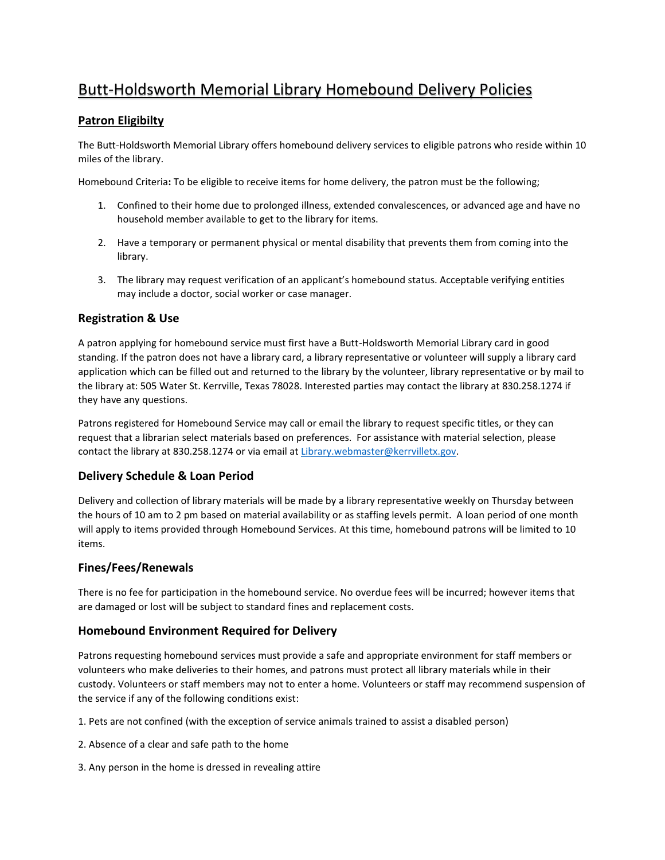# Butt-Holdsworth Memorial Library Homebound Delivery Policies

## **Patron Eligibilty**

The Butt-Holdsworth Memorial Library offers homebound delivery services to eligible patrons who reside within 10 miles of the library.

Homebound Criteria**:** To be eligible to receive items for home delivery, the patron must be the following;

- 1. Confined to their home due to prolonged illness, extended convalescences, or advanced age and have no household member available to get to the library for items.
- 2. Have a temporary or permanent physical or mental disability that prevents them from coming into the library.
- 3. The library may request verification of an applicant's homebound status. Acceptable verifying entities may include a doctor, social worker or case manager.

### **Registration & Use**

A patron applying for homebound service must first have a Butt-Holdsworth Memorial Library card in good standing. If the patron does not have a library card, a library representative or volunteer will supply a library card application which can be filled out and returned to the library by the volunteer, library representative or by mail to the library at: 505 Water St. Kerrville, Texas 78028. Interested parties may contact the library at 830.258.1274 if they have any questions.

Patrons registered for Homebound Service may call or email the library to request specific titles, or they can request that a librarian select materials based on preferences. For assistance with material selection, please contact the library at 830.258.1274 or via email at [Library.webmaster@kerrvilletx.gov.](mailto:Library.webmaster@kerrvilletx.gov)

### **Delivery Schedule & Loan Period**

Delivery and collection of library materials will be made by a library representative weekly on Thursday between the hours of 10 am to 2 pm based on material availability or as staffing levels permit. A loan period of one month will apply to items provided through Homebound Services. At this time, homebound patrons will be limited to 10 items.

### **Fines/Fees/Renewals**

There is no fee for participation in the homebound service. No overdue fees will be incurred; however items that are damaged or lost will be subject to standard fines and replacement costs.

### **Homebound Environment Required for Delivery**

Patrons requesting homebound services must provide a safe and appropriate environment for staff members or volunteers who make deliveries to their homes, and patrons must protect all library materials while in their custody. Volunteers or staff members may not to enter a home. Volunteers or staff may recommend suspension of the service if any of the following conditions exist:

1. Pets are not confined (with the exception of service animals trained to assist a disabled person)

- 2. Absence of a clear and safe path to the home
- 3. Any person in the home is dressed in revealing attire